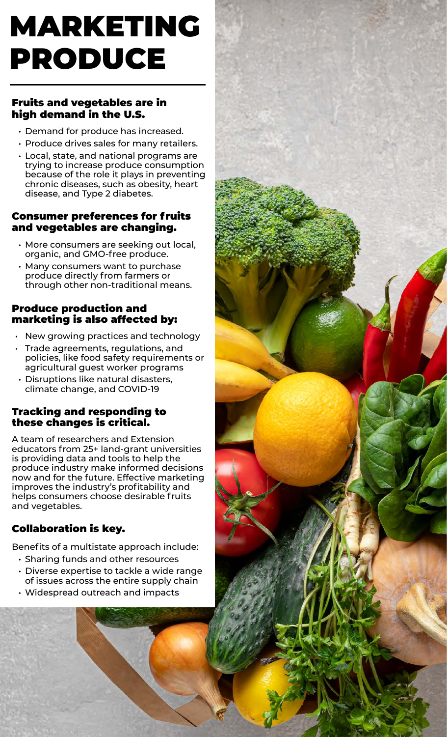# MARKETING PRODUCE

## Fruits and vegetables are in high demand in the U.S.

- Demand for produce has increased.
- Produce drives sales for many retailers.
- Local, state, and national programs are trying to increase produce consumption because of the role it plays in preventing chronic diseases, such as obesity, heart disease, and Type 2 diabetes.

### Consumer preferences for fruits and vegetables are changing.

- More consumers are seeking out local, organic, and GMO-free produce.
- Many consumers want to purchase produce directly from farmers or through other non-traditional means.

## Produce production and marketing is also affected by:

- New growing practices and technology
- Trade agreements, regulations, and policies, like food safety requirements or agricultural guest worker programs
- Disruptions like natural disasters, climate change, and COVID-19

## Tracking and responding to these changes is critical.

A team of researchers and Extension educators from 25+ land-grant universities is providing data and tools to help the produce industry make informed decisions now and for the future. Effective marketing improves the industry's profitability and helps consumers choose desirable fruits and vegetables.

## Collaboration is key.

Benefits of a multistate approach include:

- Sharing funds and other resources
- Diverse expertise to tackle a wide range of issues across the entire supply chain
- Widespread outreach and impacts